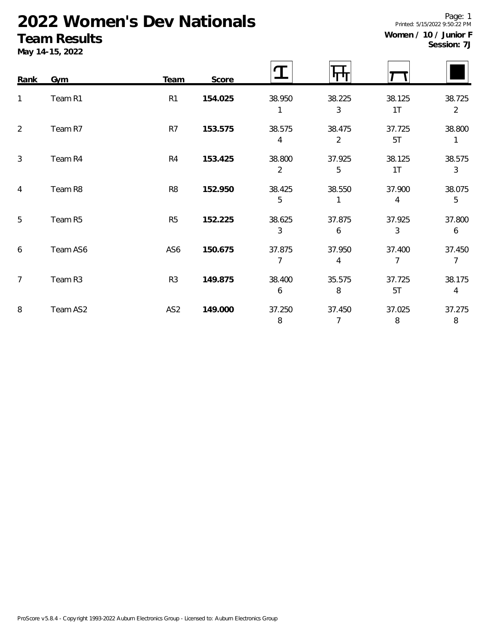# **2022 Women's Dev Nationals**

### **Team Results**

**May 14-15, 2022**

| Session: 7J |  |
|-------------|--|
|             |  |

Page: 1

| Rank           | Gym      | Team            | Score   |                  |                          |                          |                          |
|----------------|----------|-----------------|---------|------------------|--------------------------|--------------------------|--------------------------|
| 1              | Team R1  | R1              | 154.025 | 38.950<br>1      | 38.225<br>3              | 38.125<br>1T             | 38.725<br>$\overline{2}$ |
| 2              | Team R7  | R7              | 153.575 | 38.575<br>4      | 38.475<br>$\overline{2}$ | 37.725<br>5T             | 38.800<br>1              |
| $\mathbf{3}$   | Team R4  | R <sub>4</sub>  | 153.425 | 38.800<br>2      | 37.925<br>5              | 38.125<br>1 <sub>T</sub> | 38.575<br>$\mathfrak{Z}$ |
| 4              | Team R8  | R <sub>8</sub>  | 152.950 | 38.425<br>5      | 38.550                   | 37.900<br>4              | 38.075<br>5              |
| 5              | Team R5  | R <sub>5</sub>  | 152.225 | 38.625<br>3      | 37.875<br>6              | 37.925<br>3              | 37.800<br>6              |
| 6              | Team AS6 | AS6             | 150.675 | 37.875<br>7      | 37.950<br>4              | 37.400<br>7              | 37.450<br>$\overline{7}$ |
| $\overline{7}$ | Team R3  | R <sub>3</sub>  | 149.875 | 38.400<br>6      | 35.575<br>8              | 37.725<br>5T             | 38.175<br>$\overline{4}$ |
| 8              | Team AS2 | AS <sub>2</sub> | 149.000 | 37.250<br>$\, 8$ | 37.450<br>7              | 37.025<br>$\, 8$         | 37.275<br>8              |

Printed: 5/15/2022 9:50:22 PM **Women / 10 / Junior F**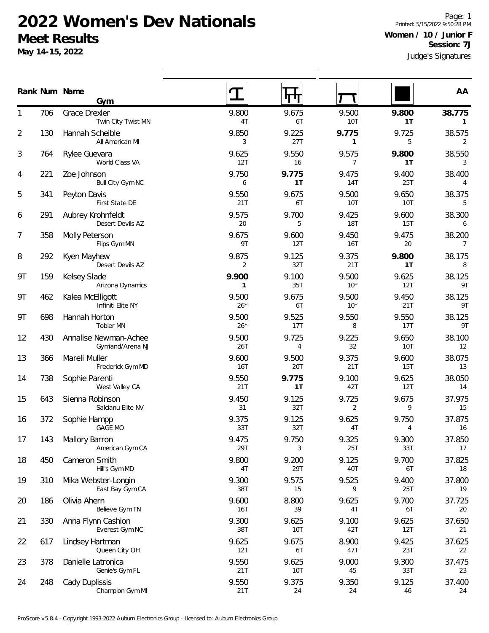### **2022 Women's Dev Nationals Meet Results**

**May 14-15, 2022**

Judge's Signatures Page: 1 Printed: 5/15/2022 9:50:28 PM **Women / 10 / Junior F Session: 7J**

 $\overline{\phantom{0}}$ 

 $\blacksquare$ 

| Rank Num Name |     | Gym                                       |                | 11 H         |                         |              | AA                       |
|---------------|-----|-------------------------------------------|----------------|--------------|-------------------------|--------------|--------------------------|
| 1             | 706 | Grace Drexler<br>Twin City Twist MN       | 9.800<br>4T    | 9.675<br>6T  | 9.500<br>10T            | 9.800<br>1T  | 38.775<br>$\mathbf{1}$   |
| 2             | 130 | Hannah Scheible<br>All American MI        | 9.850<br>3     | 9.225<br>27T | 9.775<br>$\mathbf{1}$   | 9.725<br>5   | 38.575<br>2              |
| 3             | 764 | Rylee Guevara<br>World Class VA           | 9.625<br>12T   | 9.550<br>16  | 9.575<br>$\overline{7}$ | 9.800<br>1T  | 38.550<br>$\mathbf{3}$   |
| 4             | 221 | Zoe Johnson<br>Bull City Gym NC           | 9.750<br>6     | 9.775<br>1T  | 9.475<br>14T            | 9.400<br>25T | 38.400<br>4              |
| 5             | 341 | Peyton Davis<br>First State DE            | 9.550<br>21T   | 9.675<br>6T  | 9.500<br>10T            | 9.650<br>10T | 38.375<br>5              |
| 6             | 291 | Aubrey Krohnfeldt<br>Desert Devils AZ     | 9.575<br>20    | 9.700<br>5   | 9.425<br><b>18T</b>     | 9.600<br>15T | 38.300<br>6              |
| 7             | 358 | Molly Peterson<br>Flips Gym MN            | 9.675<br>9T    | 9.600<br>12T | 9.450<br>16T            | 9.475<br>20  | 38.200<br>$\overline{7}$ |
| 8             | 292 | Kyen Mayhew<br>Desert Devils AZ           | 9.875<br>2     | 9.125<br>32T | 9.375<br>21T            | 9.800<br>1T  | 38.175<br>8              |
| 9Τ            | 159 | Kelsey Slade<br>Arizona Dynamics          | 9.900<br>1     | 9.100<br>35T | 9.500<br>$10*$          | 9.625<br>12T | 38.125<br>9T             |
| 9Τ            | 462 | Kalea McElligott<br>Infiniti Elite NY     | 9.500<br>$26*$ | 9.675<br>6T  | 9.500<br>$10*$          | 9.450<br>21T | 38.125<br>9T             |
| 9Τ            | 698 | Hannah Horton<br>Tobler MN                | 9.500<br>$26*$ | 9.525<br>17T | 9.550<br>8              | 9.550<br>17T | 38.125<br>9T             |
| 12            | 430 | Annalise Newman-Achee<br>Gymland/Arena NJ | 9.500<br>26T   | 9.725<br>4   | 9.225<br>32             | 9.650<br>10T | 38.100<br>12             |
| 13            | 366 | Mareli Muller<br>Frederick Gym MD         | 9.600<br>16T   | 9.500<br>20T | 9.375<br>21T            | 9.600<br>15T | 38.075<br>13             |
| 14            | 738 | Sophie Parenti<br>West Valley CA          | 9.550<br>21T   | 9.775<br>1T  | 9.100<br>42T            | 9.625<br>12T | 38.050<br>14             |
| 15            | 643 | Sienna Robinson<br>Salcianu Elite NV      | 9.450<br>31    | 9.125<br>32T | 9.725<br>2              | 9.675<br>9   | 37.975<br>15             |
| 16            | 372 | Sophie Hampp<br><b>GAGE MO</b>            | 9.375<br>33T   | 9.125<br>32T | 9.625<br>4T             | 9.750<br>4   | 37.875<br>16             |
| 17            | 143 | Mallory Barron<br>American Gym CA         | 9.475<br>29T   | 9.750<br>3   | 9.325<br>25T            | 9.300<br>33T | 37.850<br>17             |
| 18            | 450 | Cameron Smith<br>Hill's Gym MD            | 9.800<br>4T    | 9.200<br>29T | 9.125<br>40T            | 9.700<br>6T  | 37.825<br>18             |
| 19            | 310 | Mika Webster-Longin<br>East Bay Gym CA    | 9.300<br>38T   | 9.575<br>15  | 9.525<br>9              | 9.400<br>25T | 37.800<br>19             |
| 20            | 186 | Olivia Ahern<br>Believe Gym TN            | 9.600<br>16T   | 8.800<br>39  | 9.625<br>4T             | 9.700<br>6T  | 37.725<br>20             |
| 21            | 330 | Anna Flynn Cashion<br>Everest Gym NC      | 9.300<br>38T   | 9.625<br>10T | 9.100<br>42T            | 9.625<br>12T | 37.650<br>21             |
| 22            | 617 | Lindsey Hartman<br>Queen City OH          | 9.625<br>12T   | 9.675<br>6T  | 8.900<br>47T            | 9.425<br>23T | 37.625<br>22             |
| 23            | 378 | Danielle Latronica<br>Genie's Gym FL      | 9.550<br>21T   | 9.625<br>10T | 9.000<br>45             | 9.300<br>33T | 37.475<br>23             |
| 24            | 248 | Cady Duplissis                            | 9.550          | 9.375        | 9.350                   | 9.125        | 37.400                   |

 $\overline{\phantom{0}}$  $\overline{\phantom{0}}$ 

 $\blacksquare$ 

 $\overline{\phantom{0}}$ 

 $\blacksquare$ 

 $\overline{\phantom{0}}$ 

21T 24 24 46 24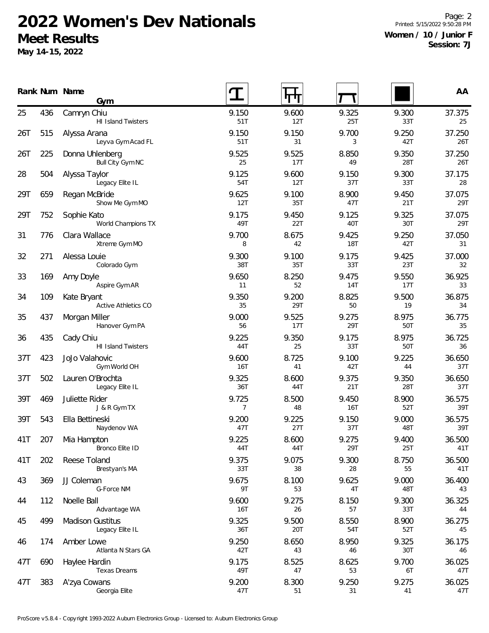## **2022 Women's Dev Nationals Meet Results**

**May 14-15, 2022**

Page: 2 Printed: 5/15/2022 9:50:28 PM **Women / 10 / Junior F Session: 7J**

|     |     | Rank Num Name<br>Gym                       |              |              |              |              | AA            |
|-----|-----|--------------------------------------------|--------------|--------------|--------------|--------------|---------------|
| 25  | 436 | Camryn Chiu<br>HI Island Twisters          | 9.150<br>51T | 9.600<br>12T | 9.325<br>25T | 9.300<br>33T | 37.375<br>25  |
| 26T | 515 | Alyssa Arana<br>Leyva Gym Acad FL          | 9.150<br>51T | 9.150<br>31  | 9.700<br>3   | 9.250<br>42T | 37.250<br>26T |
| 26T | 225 | Donna Uhlenberg<br>Bull City Gym NC        | 9.525<br>25  | 9.525<br>17T | 8.850<br>49  | 9.350<br>28T | 37.250<br>26T |
| 28  | 504 | Alyssa Taylor<br>Legacy Elite IL           | 9.125<br>54T | 9.600<br>12T | 9.150<br>37T | 9.300<br>33T | 37.175<br>28  |
| 29T | 659 | Regan McBride<br>Show Me Gym MO            | 9.625<br>12T | 9.100<br>35T | 8.900<br>47T | 9.450<br>21T | 37.075<br>29T |
| 29T | 752 | Sophie Kato<br>World Champions TX          | 9.175<br>49T | 9.450<br>22T | 9.125<br>40T | 9.325<br>30T | 37.075<br>29T |
| 31  | 776 | Clara Wallace<br>Xtreme Gym MO             | 9.700<br>8   | 8.675<br>42  | 9.425<br>18T | 9.250<br>42T | 37.050<br>31  |
| 32  | 271 | Alessa Louie<br>Colorado Gym               | 9.300<br>38T | 9.100<br>35T | 9.175<br>33T | 9.425<br>23T | 37.000<br>32  |
| 33  | 169 | Amy Doyle<br>Aspire Gym AR                 | 9.650<br>11  | 8.250<br>52  | 9.475<br>14T | 9.550<br>17T | 36.925<br>33  |
| 34  | 109 | Kate Bryant<br>Active Athletics CO         | 9.350<br>35  | 9.200<br>29T | 8.825<br>50  | 9.500<br>19  | 36.875<br>34  |
| 35  | 437 | Morgan Miller<br>Hanover Gym PA            | 9.000<br>56  | 9.525<br>17T | 9.275<br>29T | 8.975<br>50T | 36.775<br>35  |
| 36  | 435 | Cady Chiu<br><b>HI Island Twisters</b>     | 9.225<br>44T | 9.350<br>25  | 9.175<br>33T | 8.975<br>50T | 36.725<br>36  |
| 37T | 423 | JoJo Valahovic<br>Gym World OH             | 9.600<br>16T | 8.725<br>41  | 9.100<br>42T | 9.225<br>44  | 36.650<br>37T |
| 37T | 502 | Lauren O'Brochta<br>Legacy Elite IL        | 9.325<br>36T | 8.600<br>44T | 9.375<br>21T | 9.350<br>28T | 36.650<br>37T |
| 39T | 469 | Juliette Rider<br>J & R Gym TX             | 9.725<br>7   | 8.500<br>48  | 9.450<br>16T | 8.900<br>52T | 36.575<br>39T |
| 39T | 543 | Ella Bettineski<br>Naydenov WA             | 9.200<br>47T | 9.225<br>27T | 9.150<br>37T | 9.000<br>48T | 36.575<br>39T |
| 41T | 207 | Mia Hampton<br>Bronco Elite ID             | 9.225<br>44T | 8.600<br>44T | 9.275<br>29T | 9.400<br>25T | 36.500<br>41T |
| 41T | 202 | Reese Toland<br>Brestyan's MA              | 9.375<br>33T | 9.075<br>38  | 9.300<br>28  | 8.750<br>55  | 36.500<br>41T |
| 43  | 369 | JJ Coleman<br>G-Force NM                   | 9.675<br>9T  | 8.100<br>53  | 9.625<br>4T  | 9.000<br>48T | 36.400<br>43  |
| 44  | 112 | Noelle Ball<br>Advantage WA                | 9.600<br>16T | 9.275<br>26  | 8.150<br>57  | 9.300<br>33T | 36.325<br>44  |
| 45  | 499 | <b>Madison Gustitus</b><br>Legacy Elite IL | 9.325<br>36T | 9.500<br>20T | 8.550<br>54T | 8.900<br>52T | 36.275<br>45  |
| 46  | 174 | Amber Lowe<br>Atlanta N Stars GA           | 9.250<br>42T | 8.650<br>43  | 8.950<br>46  | 9.325<br>30T | 36.175<br>46  |
| 47T | 690 | Haylee Hardin<br>Texas Dreams              | 9.175<br>49T | 8.525<br>47  | 8.625<br>53  | 9.700<br>6T  | 36.025<br>47T |
| 47T | 383 | A'zya Cowans<br>Georgia Elite              | 9.200<br>47T | 8.300<br>51  | 9.250<br>31  | 9.275<br>41  | 36.025<br>47T |